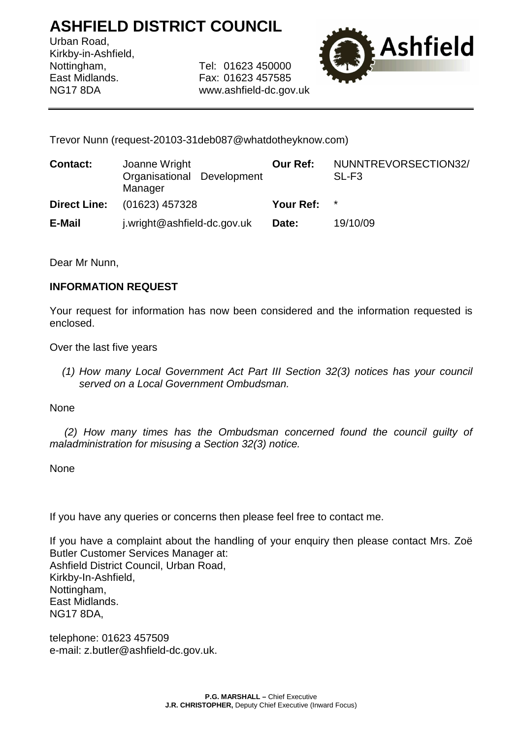## **ASHFIELD DISTRICT COUNCIL**

Urban Road, Kirkby-in-Ashfield,

Nottingham, Tel: 01623 450000 East Midlands. Fax: 01623 457585 NG17 8DA www.ashfield-dc.gov.uk



Trevor Nunn (request-20103-31deb087@whatdotheyknow.com)

| <b>Contact:</b>     | Joanne Wright<br>Organisational Development<br>Manager | <b>Our Ref:</b> | NUNNTREVORSECTION32/<br>SL-F3 |
|---------------------|--------------------------------------------------------|-----------------|-------------------------------|
| <b>Direct Line:</b> | (01623) 457328                                         | Your Ref: *     |                               |
| E-Mail              | j.wright@ashfield-dc.gov.uk                            | Date:           | 19/10/09                      |

Dear Mr Nunn,

## **INFORMATION REQUEST**

Your request for information has now been considered and the information requested is enclosed.

Over the last five years

(1) How many Local Government Act Part III Section 32(3) notices has your council served on a Local Government Ombudsman.

None

 (2) How many times has the Ombudsman concerned found the council guilty of maladministration for misusing a Section 32(3) notice.

None

If you have any queries or concerns then please feel free to contact me.

If you have a complaint about the handling of your enquiry then please contact Mrs. Zoë Butler Customer Services Manager at: Ashfield District Council, Urban Road, Kirkby-In-Ashfield, Nottingham, East Midlands. NG17 8DA,

telephone: 01623 457509 e-mail: z.butler@ashfield-dc.gov.uk.